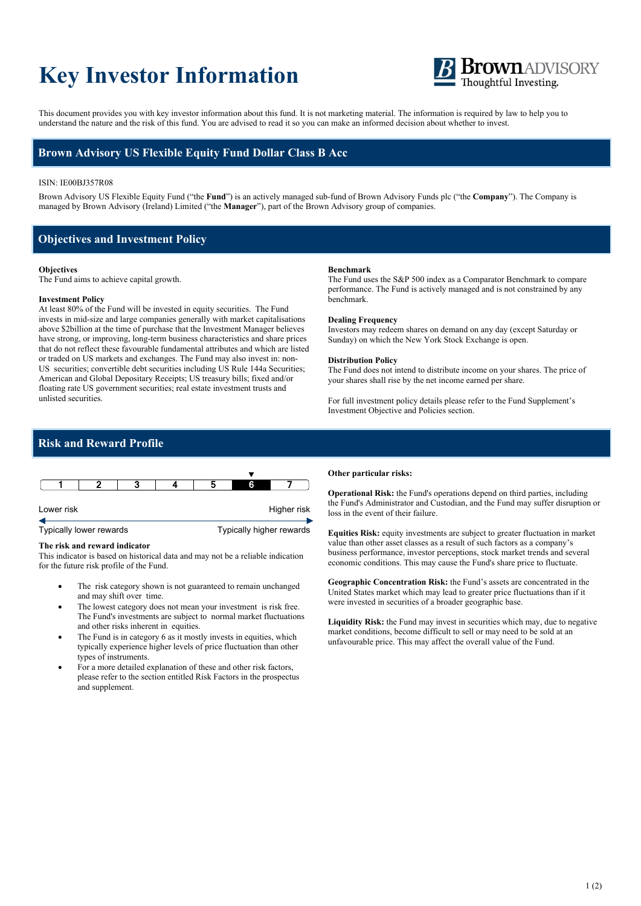# **Key Investor Information**



This document provides you with key investor information about this fund. It is not marketing material. The information is required by law to help you to understand the nature and the risk of this fund. You are advised to read it so you can make an informed decision about whether to invest.

## **Brown Advisory US Flexible Equity Fund Dollar Class B Acc**

### ISIN: IE00BJ357R08

Brown Advisory US Flexible Equity Fund ("the **Fund**") is an actively managed sub-fund of Brown Advisory Funds plc ("the **Company**"). The Company is managed by Brown Advisory (Ireland) Limited ("the **Manager**"), part of the Brown Advisory group of companies.

## **Objectives and Investment Policy**

#### **Objectives**

The Fund aims to achieve capital growth.

## **Investment Policy**

At least 80% of the Fund will be invested in equity securities. The Fund invests in mid-size and large companies generally with market capitalisations above \$2billion at the time of purchase that the Investment Manager believes have strong, or improving, long-term business characteristics and share prices that do not reflect these favourable fundamental attributes and which are listed or traded on US markets and exchanges. The Fund may also invest in: non-US securities; convertible debt securities including US Rule 144a Securities; American and Global Depositary Receipts; US treasury bills; fixed and/or floating rate US government securities; real estate investment trusts and unlisted securities.

#### **Benchmark**

The Fund uses the S&P 500 index as a Comparator Benchmark to compare performance. The Fund is actively managed and is not constrained by any benchmark.

#### **Dealing Frequency**

Investors may redeem shares on demand on any day (except Saturday or Sunday) on which the New York Stock Exchange is open.

#### **Distribution Policy**

The Fund does not intend to distribute income on your shares. The price of your shares shall rise by the net income earned per share.

For full investment policy details please refer to the Fund Supplement's Investment Objective and Policies section.

## **Risk and Reward Profile**



## **The risk and reward indicator**

This indicator is based on historical data and may not be a reliable indication for the future risk profile of the Fund.

- The risk category shown is not guaranteed to remain unchanged and may shift over time.
- The lowest category does not mean your investment is risk free. The Fund's investments are subject to normal market fluctuations and other risks inherent in equities.
- The Fund is in category 6 as it mostly invests in equities, which typically experience higher levels of price fluctuation than other types of instruments.
- For a more detailed explanation of these and other risk factors, please refer to the section entitled Risk Factors in the prospectus and supplement.

#### **Other particular risks:**

**Operational Risk:** the Fund's operations depend on third parties, including the Fund's Administrator and Custodian, and the Fund may suffer disruption or loss in the event of their failure.

**Equities Risk:** equity investments are subject to greater fluctuation in market value than other asset classes as a result of such factors as a company's business performance, investor perceptions, stock market trends and several economic conditions. This may cause the Fund's share price to fluctuate.

**Geographic Concentration Risk:** the Fund's assets are concentrated in the United States market which may lead to greater price fluctuations than if it were invested in securities of a broader geographic base.

**Liquidity Risk:** the Fund may invest in securities which may, due to negative market conditions, become difficult to sell or may need to be sold at an unfavourable price. This may affect the overall value of the Fund.